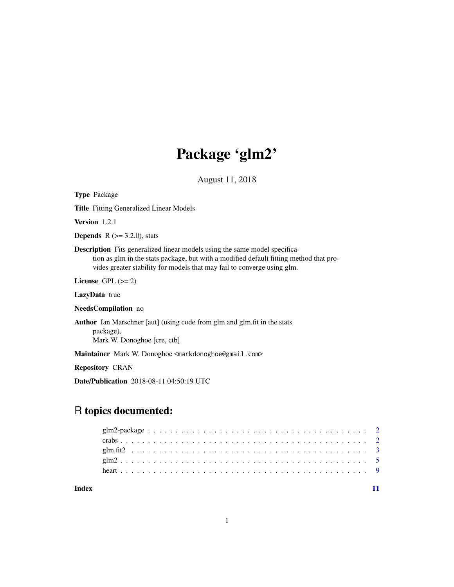# Package 'glm2'

August 11, 2018

<span id="page-0-0"></span>

| <b>Type Package</b>                                                                                                                                                                                                                                    |
|--------------------------------------------------------------------------------------------------------------------------------------------------------------------------------------------------------------------------------------------------------|
| <b>Title</b> Fitting Generalized Linear Models                                                                                                                                                                                                         |
| <b>Version</b> $1.2.1$                                                                                                                                                                                                                                 |
| <b>Depends</b> $R (= 3.2.0)$ , stats                                                                                                                                                                                                                   |
| <b>Description</b> Fits generalized linear models using the same model specifica-<br>tion as glm in the stats package, but with a modified default fitting method that pro-<br>vides greater stability for models that may fail to converge using glm. |
| License GPL $(>= 2)$                                                                                                                                                                                                                                   |
| LazyData true                                                                                                                                                                                                                                          |
| <b>NeedsCompilation</b> no                                                                                                                                                                                                                             |
| <b>Author</b> Ian Marschner [aut] (using code from glm and glm.fit in the stats<br>package),<br>Mark W. Donoghoe [cre, ctb]                                                                                                                            |
| Maintainer Mark W. Donoghoe <markdonoghoe@gmail.com></markdonoghoe@gmail.com>                                                                                                                                                                          |
| <b>Repository CRAN</b>                                                                                                                                                                                                                                 |
| <b>Date/Publication</b> 2018-08-11 04:50:19 UTC                                                                                                                                                                                                        |

# R topics documented:

**Index** [11](#page-10-0)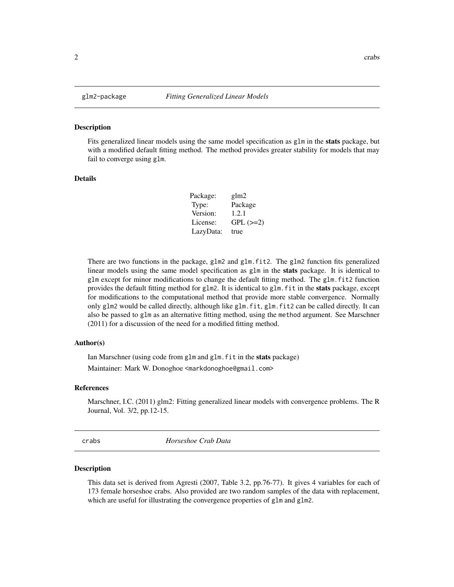<span id="page-1-0"></span>

#### Description

Fits generalized linear models using the same model specification as  $g1m$  in the stats package, but with a modified default fitting method. The method provides greater stability for models that may fail to converge using glm.

# Details

| Package:  | glm2       |
|-----------|------------|
| Type:     | Package    |
| Version:  | 1.2.1      |
| License:  | $GPL (=2)$ |
| LazyData: | true       |

There are two functions in the package, glm2 and glm.fit2. The glm2 function fits generalized linear models using the same model specification as glm in the stats package. It is identical to glm except for minor modifications to change the default fitting method. The glm.fit2 function provides the default fitting method for glm2. It is identical to glm. fit in the **stats** package, except for modifications to the computational method that provide more stable convergence. Normally only glm2 would be called directly, although like glm.fit, glm.fit2 can be called directly. It can also be passed to glm as an alternative fitting method, using the method argument. See Marschner (2011) for a discussion of the need for a modified fitting method.

## Author(s)

Ian Marschner (using code from glm and glm.fit in the stats package) Maintainer: Mark W. Donoghoe <markdonoghoe@gmail.com>

#### References

Marschner, I.C. (2011) glm2: Fitting generalized linear models with convergence problems. The R Journal, Vol. 3/2, pp.12-15.

crabs *Horseshoe Crab Data*

#### Description

This data set is derived from Agresti (2007, Table 3.2, pp.76-77). It gives 4 variables for each of 173 female horseshoe crabs. Also provided are two random samples of the data with replacement, which are useful for illustrating the convergence properties of glm and glm2.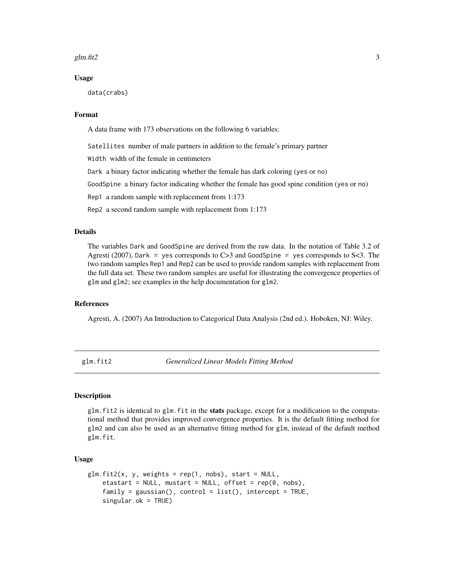#### <span id="page-2-0"></span>glm.fit2  $\frac{1}{2}$  3

#### Usage

data(crabs)

# Format

A data frame with 173 observations on the following 6 variables:

Satellites number of male partners in addition to the female's primary partner

Width width of the female in centimeters

Dark a binary factor indicating whether the female has dark coloring (yes or no)

GoodSpine a binary factor indicating whether the female has good spine condition (yes or no)

Rep1 a random sample with replacement from 1:173

Rep2 a second random sample with replacement from 1:173

# Details

The variables Dark and GoodSpine are derived from the raw data. In the notation of Table 3.2 of Agresti (2007), Dark = yes corresponds to  $C>3$  and GoodSpine = yes corresponds to  $S<3$ . The two random samples Rep1 and Rep2 can be used to provide random samples with replacement from the full data set. These two random samples are useful for illustrating the convergence properties of glm and glm2; see examples in the help documentation for glm2.

### References

Agresti, A. (2007) An Introduction to Categorical Data Analysis (2nd ed.). Hoboken, NJ: Wiley.

glm.fit2 *Generalized Linear Models Fitting Method*

# Description

glm. fit2 is identical to glm. fit in the stats package, except for a modification to the computational method that provides improved convergence properties. It is the default fitting method for glm2 and can also be used as an alternative fitting method for glm, instead of the default method glm.fit.

#### Usage

```
glm.fit2(x, y, weights = rep(1, nobs), start = NULL,etastart = NULL, mustart = NULL, offset = rep(0, nobs),
    family = gaussian(), control = list(), intercept = TRUE,
    singular.ok = TRUE)
```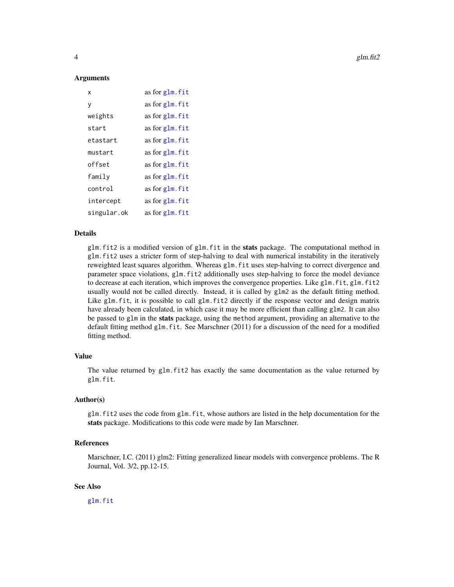4 glm.fit2

#### Arguments

| x           | as for glm. fit |
|-------------|-----------------|
| y           | as for glm. fit |
| weights     | as for glm. fit |
| start       | as for glm. fit |
| etastart    | as for glm. fit |
| mustart     | as for glm. fit |
| offset      | as for glm. fit |
| family      | as for glm. fit |
| control     | as for glm. fit |
| intercept   | as for glm. fit |
| singular.ok | as for glm. fit |

# Details

glm.fit2 is a modified version of glm.fit in the stats package. The computational method in glm.fit2 uses a stricter form of step-halving to deal with numerical instability in the iteratively reweighted least squares algorithm. Whereas glm.fit uses step-halving to correct divergence and parameter space violations, glm.fit2 additionally uses step-halving to force the model deviance to decrease at each iteration, which improves the convergence properties. Like glm.fit, glm.fit2 usually would not be called directly. Instead, it is called by glm2 as the default fitting method. Like glm.fit, it is possible to call glm.fit2 directly if the response vector and design matrix have already been calculated, in which case it may be more efficient than calling glm2. It can also be passed to glm in the stats package, using the method argument, providing an alternative to the default fitting method glm.fit. See Marschner (2011) for a discussion of the need for a modified fitting method.

# Value

The value returned by glm.fit2 has exactly the same documentation as the value returned by glm.fit.

# Author(s)

glm.fit2 uses the code from glm.fit, whose authors are listed in the help documentation for the stats package. Modifications to this code were made by Ian Marschner.

### References

Marschner, I.C. (2011) glm2: Fitting generalized linear models with convergence problems. The R Journal, Vol. 3/2, pp.12-15.

# See Also

[glm.fit](#page-0-0)

<span id="page-3-0"></span>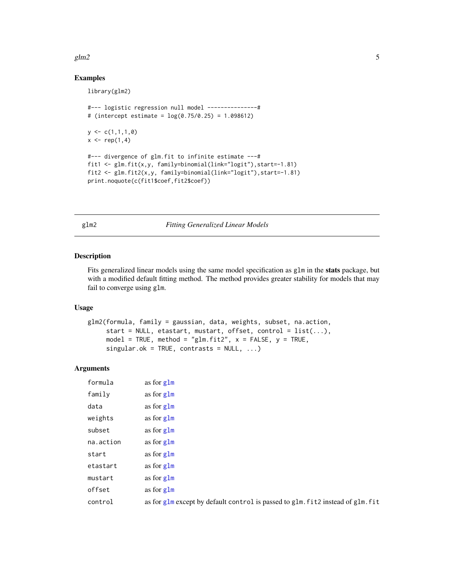### <span id="page-4-0"></span>glm2  $\sim$  5

# Examples

library(glm2)

```
#--- logistic regression null model ---------------#
# (intercept estimate = log(0.75/0.25) = 1.098612)
y \leftarrow c(1,1,1,0)x < - rep(1,4)
#--- divergence of glm.fit to infinite estimate ---#
fit1 <- glm.fit(x,y, family=binomial(link="logit"),start=-1.81)
fit2 <- glm.fit2(x,y, family=binomial(link="logit"),start=-1.81)
print.noquote(c(fit1$coef,fit2$coef))
```
glm2 *Fitting Generalized Linear Models*

# Description

Fits generalized linear models using the same model specification as glm in the **stats** package, but with a modified default fitting method. The method provides greater stability for models that may fail to converge using glm.

# Usage

```
glm2(formula, family = gaussian, data, weights, subset, na.action,
    start = NULL, etastart, mustart, offset, control = list(...),model = TRUE, method = "glm.fit2", x = FALSE, y = TRUE,
    singular.ok = TRUE, contrasts = NULL, ...)
```
# Arguments

| formula   | as for glm                                                                      |
|-----------|---------------------------------------------------------------------------------|
| family    | as for glm                                                                      |
| data      | as for glm                                                                      |
| weights   | as for glm                                                                      |
| subset    | as for glm                                                                      |
| na.action | as for glm                                                                      |
| start     | as for glm                                                                      |
| etastart  | as for glm                                                                      |
| mustart   | as for glm                                                                      |
| offset    | as for glm                                                                      |
| control   | as for glm except by default control is passed to glm. fit2 instead of glm. fit |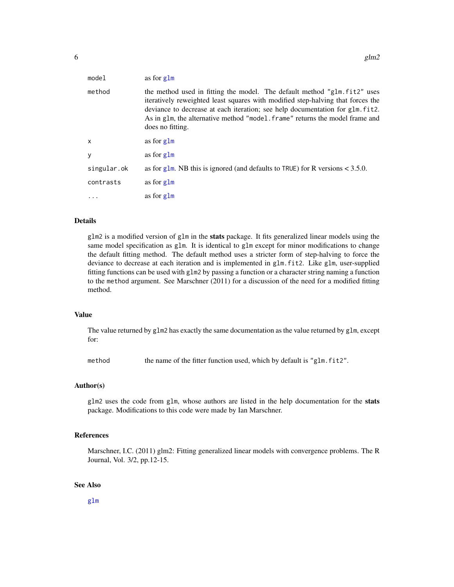<span id="page-5-0"></span>

| model       | as for glm                                                                                                                                                                                                                                                                                                                                        |
|-------------|---------------------------------------------------------------------------------------------------------------------------------------------------------------------------------------------------------------------------------------------------------------------------------------------------------------------------------------------------|
| method      | the method used in fitting the model. The default method "glm. fit2" uses<br>iteratively reweighted least squares with modified step-halving that forces the<br>deviance to decrease at each iteration; see help documentation for glm. fit2.<br>As in glm, the alternative method "model, frame" returns the model frame and<br>does no fitting. |
| X           | as for glm                                                                                                                                                                                                                                                                                                                                        |
| y           | as for glm                                                                                                                                                                                                                                                                                                                                        |
| singular.ok | as for g1m. NB this is ignored (and defaults to TRUE) for R versions $<$ 3.5.0.                                                                                                                                                                                                                                                                   |
| contrasts   | as for glm                                                                                                                                                                                                                                                                                                                                        |
|             | as for glm                                                                                                                                                                                                                                                                                                                                        |

#### Details

glm2 is a modified version of glm in the **stats** package. It fits generalized linear models using the same model specification as glm. It is identical to glm except for minor modifications to change the default fitting method. The default method uses a stricter form of step-halving to force the deviance to decrease at each iteration and is implemented in glm.fit2. Like glm, user-supplied fitting functions can be used with glm2 by passing a function or a character string naming a function to the method argument. See Marschner (2011) for a discussion of the need for a modified fitting method.

#### Value

The value returned by glm2 has exactly the same documentation as the value returned by glm, except for:

method the name of the fitter function used, which by default is "glm.fit2".

#### Author(s)

glm2 uses the code from glm, whose authors are listed in the help documentation for the stats package. Modifications to this code were made by Ian Marschner.

#### References

Marschner, I.C. (2011) glm2: Fitting generalized linear models with convergence problems. The R Journal, Vol. 3/2, pp.12-15.

#### See Also

[glm](#page-0-0)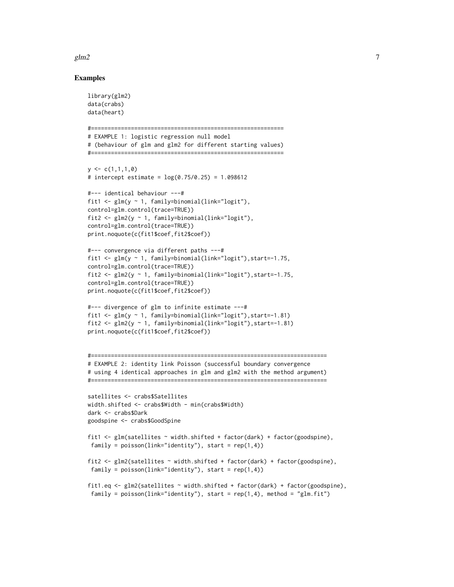#### $g$ lm2 7

#### Examples

```
library(glm2)
data(crabs)
data(heart)
#==========================================================
# EXAMPLE 1: logistic regression null model
# (behaviour of glm and glm2 for different starting values)
#==========================================================
y \leftarrow c(1,1,1,0)# intercept estimate = log(0.75/0.25) = 1.098612
#--- identical behaviour ---#
fit1 \leftarrow glm(v \sim 1, family=binomial(link="logit"),
control=glm.control(trace=TRUE))
fit2 <- glm2(y ~ 1, family=binomial(link="logit"),
control=glm.control(trace=TRUE))
print.noquote(c(fit1$coef,fit2$coef))
#--- convergence via different paths ---#
fit1 <- glm(y ~ 1, family=binomial(link="logit"),start=-1.75,
control=glm.control(trace=TRUE))
fit2 <- glm2(y ~ 1, family=binomial(link="logit"),start=-1.75,
control=glm.control(trace=TRUE))
print.noquote(c(fit1$coef,fit2$coef))
#--- divergence of glm to infinite estimate ---#
fit1 <- glm(y \sim 1, family=binomial(link="logit"), start=-1.81)
fit2 <- glm2(y ~ 1, family=binomial(link="logit"),start=-1.81)
print.noquote(c(fit1$coef,fit2$coef))
#=======================================================================
# EXAMPLE 2: identity link Poisson (successful boundary convergence
# using 4 identical approaches in glm and glm2 with the method argument)
#=======================================================================
satellites <- crabs$Satellites
width.shifted <- crabs$Width - min(crabs$Width)
dark <- crabs$Dark
goodspine <- crabs$GoodSpine
fit1 <- glm(satellites ~ width.shifted + factor(dark) + factor(goodspine),
 family = poisson(link="identity"), start = rep(1,4))fit2 <- glm2(satellites ~ width.shifted + factor(dark) + factor(goodspine),
 family = poisson(link="identity"), start = rep(1,4))fit1.eq <- glm2(satellites ~ width.shifted + factor(dark) + factor(goodspine),
 family = poisson(link="identity"), start = rep(1,4), method = "glm.fit")
```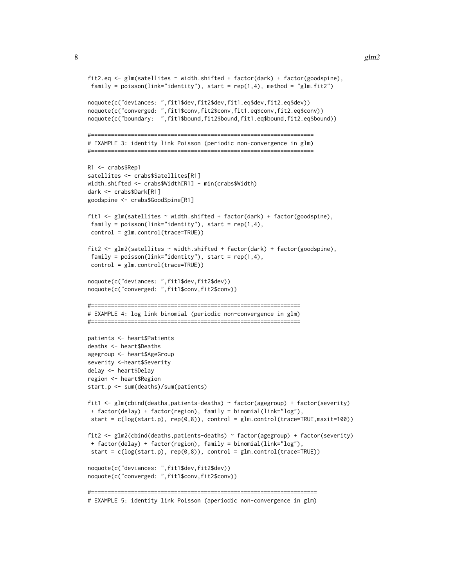#### 8 glm2

```
fit2.eq \leq glm(satellites \sim width.shifted + factor(dark) + factor(goodspine),
family = poisson(link="identity"), start = rep(1,4), method = "glm.fit2")
noquote(c("deviances: ",fit1$dev,fit2$dev,fit1.eq$dev,fit2.eq$dev))
noquote(c("converged: ",fit1$conv,fit2$conv,fit1.eq$conv,fit2.eq$conv))
noquote(c("boundary: ",fit1$bound,fit2$bound,fit1.eq$bound,fit2.eq$bound))
#===================================================================
# EXAMPLE 3: identity link Poisson (periodic non-convergence in glm)
#===================================================================
R1 <- crabs$Rep1
satellites <- crabs$Satellites[R1]
width.shifted <- crabs$Width[R1] - min(crabs$Width)
dark <- crabs$Dark[R1]
goodspine <- crabs$GoodSpine[R1]
fit1 <- glm(satellites ~ width.shifted + factor(dark) + factor(goodspine),
family = poisson(link="identity"), start = rep(1,4),control = glm.control(trace=TRUE))
fit2 <- glm2(satellites \sim width.shifted + factor(dark) + factor(goodspine),
family = poisson(link="identity"), start = rep(1,4),
control = glm.control(trace=TRUE))
noquote(c("deviances: ",fit1$dev,fit2$dev))
noquote(c("converged: ",fit1$conv,fit2$conv))
#===============================================================
# EXAMPLE 4: log link binomial (periodic non-convergence in glm)
#===============================================================
patients <- heart$Patients
deaths <- heart$Deaths
agegroup <- heart$AgeGroup
severity <-heart$Severity
delay <- heart$Delay
region <- heart$Region
start.p <- sum(deaths)/sum(patients)
fit1 <- glm(cbind(deaths,patients-deaths) ~ factor(agegroup) + factor(severity)
+ factor(delay) + factor(region), family = binomial(link="log"),
start = c(log(start.p), rep(0,8)), control = glm.control(trace=TRUE,maxit=100))
fit2 <- glm2(cbind(deaths,patients-deaths) ~ factor(agegroup) + factor(severity)
+ factor(delay) + factor(region), family = binomial(link="log"),
start = c(log(start.p), rep(0,8)), control = glm.control(trace=TRUE))
noquote(c("deviances: ",fit1$dev,fit2$dev))
noquote(c("converged: ",fit1$conv,fit2$conv))
#====================================================================
# EXAMPLE 5: identity link Poisson (aperiodic non-convergence in glm)
```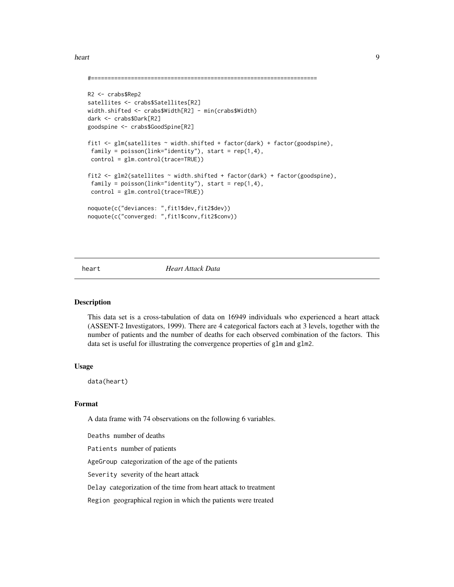<span id="page-8-0"></span>heart 9

```
#====================================================================
R2 <- crabs$Rep2
satellites <- crabs$Satellites[R2]
width.shifted <- crabs$Width[R2] - min(crabs$Width)
dark <- crabs$Dark[R2]
goodspine <- crabs$GoodSpine[R2]
fit1 <- glm(satellites ~ width.shifted + factor(dark) + factor(goodspine),
family = poisson(link="identity''), start = rep(1,4),
control = glm.control(trace=TRUE))
fit2 <- glm2(satellites ~ width.shifted + factor(dark) + factor(goodspine),
 family = poisson(link="identity"), start = rep(1,4),
control = glm.control(trace=TRUE))
noquote(c("deviances: ",fit1$dev,fit2$dev))
noquote(c("converged: ",fit1$conv,fit2$conv))
```
# heart *Heart Attack Data*

# Description

This data set is a cross-tabulation of data on 16949 individuals who experienced a heart attack (ASSENT-2 Investigators, 1999). There are 4 categorical factors each at 3 levels, together with the number of patients and the number of deaths for each observed combination of the factors. This data set is useful for illustrating the convergence properties of glm and glm2.

# Usage

data(heart)

# Format

A data frame with 74 observations on the following 6 variables.

Deaths number of deaths

Patients number of patients

AgeGroup categorization of the age of the patients

Severity severity of the heart attack

Delay categorization of the time from heart attack to treatment

Region geographical region in which the patients were treated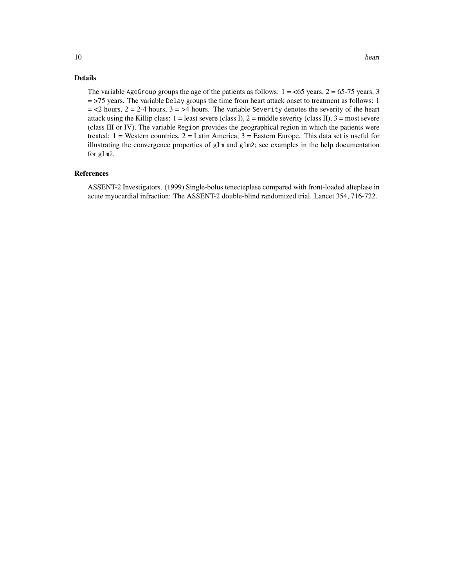# Details

The variable AgeGroup groups the age of the patients as follows:  $1 = 65$  years,  $2 = 65-75$  years, 3 = >75 years. The variable Delay groups the time from heart attack onset to treatment as follows: 1  $=$  <2 hours, 2 = 2-4 hours, 3 = >4 hours. The variable Severity denotes the severity of the heart attack using the Killip class:  $1 =$  least severe (class I),  $2 =$  middle severity (class II),  $3 =$  most severe (class III or IV). The variable Region provides the geographical region in which the patients were treated:  $1 =$  Western countries,  $2 =$  Latin America,  $3 =$  Eastern Europe. This data set is useful for illustrating the convergence properties of  $g1m$  and  $g1m2$ ; see examples in the help documentation for glm2.

## References

ASSENT-2 Investigators. (1999) Single-bolus tenecteplase compared with front-loaded alteplase in acute myocardial infraction: The ASSENT-2 double-blind randomized trial. Lancet 354, 716-722.